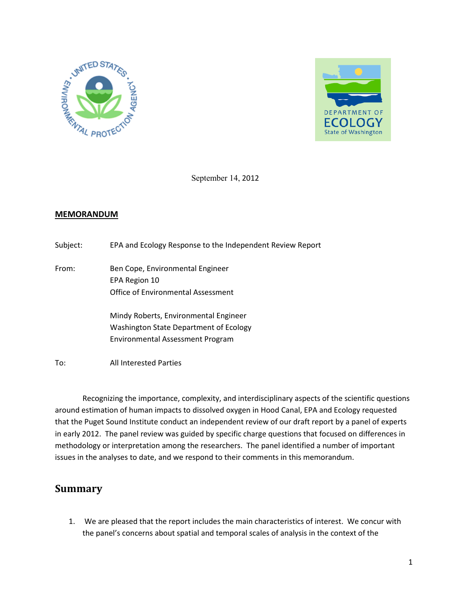



September 14, 2012

## **MEMORANDUM**

| Subject: | EPA and Ecology Response to the Independent Review Report |  |  |
|----------|-----------------------------------------------------------|--|--|
|          |                                                           |  |  |
|          |                                                           |  |  |

From: Ben Cope, Environmental Engineer EPA Region 10 Office of Environmental Assessment

> Mindy Roberts, Environmental Engineer Washington State Department of Ecology Environmental Assessment Program

To: All Interested Parties

 Recognizing the importance, complexity, and interdisciplinary aspects of the scientific questions around estimation of human impacts to dissolved oxygen in Hood Canal, EPA and Ecology requested that the Puget Sound Institute conduct an independent review of our draft report by a panel of experts in early 2012. The panel review was guided by specific charge questions that focused on differences in methodology or interpretation among the researchers. The panel identified a number of important issues in the analyses to date, and we respond to their comments in this memorandum.

# **Summary**

1. We are pleased that the report includes the main characteristics of interest. We concur with the panel's concerns about spatial and temporal scales of analysis in the context of the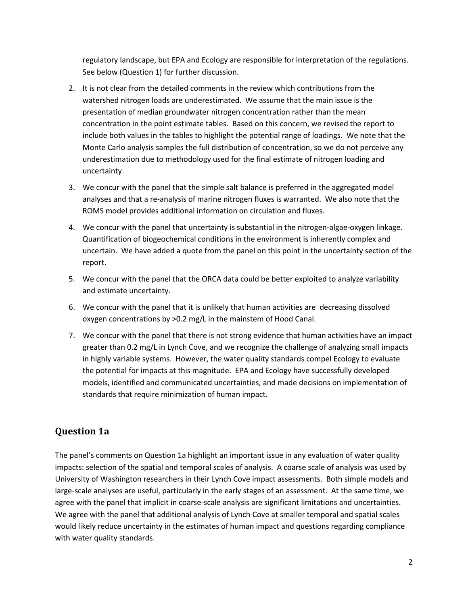regulatory landscape, but EPA and Ecology are responsible for interpretation of the regulations. See below (Question 1) for further discussion.

- 2. It is not clear from the detailed comments in the review which contributions from the watershed nitrogen loads are underestimated. We assume that the main issue is the presentation of median groundwater nitrogen concentration rather than the mean concentration in the point estimate tables. Based on this concern, we revised the report to include both values in the tables to highlight the potential range of loadings. We note that the Monte Carlo analysis samples the full distribution of concentration, so we do not perceive any underestimation due to methodology used for the final estimate of nitrogen loading and uncertainty.
- 3. We concur with the panel that the simple salt balance is preferred in the aggregated model analyses and that a re-analysis of marine nitrogen fluxes is warranted. We also note that the ROMS model provides additional information on circulation and fluxes.
- 4. We concur with the panel that uncertainty is substantial in the nitrogen-algae-oxygen linkage. Quantification of biogeochemical conditions in the environment is inherently complex and uncertain. We have added a quote from the panel on this point in the uncertainty section of the report.
- 5. We concur with the panel that the ORCA data could be better exploited to analyze variability and estimate uncertainty.
- 6. We concur with the panel that it is unlikely that human activities are decreasing dissolved oxygen concentrations by >0.2 mg/L in the mainstem of Hood Canal.
- 7. We concur with the panel that there is not strong evidence that human activities have an impact greater than 0.2 mg/L in Lynch Cove, and we recognize the challenge of analyzing small impacts in highly variable systems. However, the water quality standards compel Ecology to evaluate the potential for impacts at this magnitude. EPA and Ecology have successfully developed models, identified and communicated uncertainties, and made decisions on implementation of standards that require minimization of human impact.

# **Question 1a**

The panel's comments on Question 1a highlight an important issue in any evaluation of water quality impacts: selection of the spatial and temporal scales of analysis. A coarse scale of analysis was used by University of Washington researchers in their Lynch Cove impact assessments. Both simple models and large-scale analyses are useful, particularly in the early stages of an assessment. At the same time, we agree with the panel that implicit in coarse-scale analysis are significant limitations and uncertainties. We agree with the panel that additional analysis of Lynch Cove at smaller temporal and spatial scales would likely reduce uncertainty in the estimates of human impact and questions regarding compliance with water quality standards.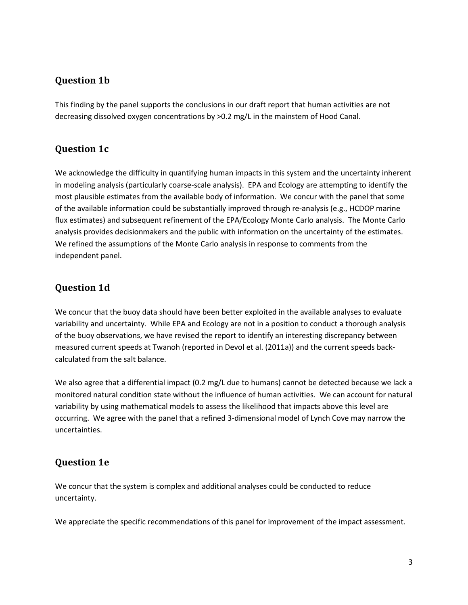## **Question 1b**

This finding by the panel supports the conclusions in our draft report that human activities are not decreasing dissolved oxygen concentrations by >0.2 mg/L in the mainstem of Hood Canal.

# **Question 1c**

We acknowledge the difficulty in quantifying human impacts in this system and the uncertainty inherent in modeling analysis (particularly coarse-scale analysis). EPA and Ecology are attempting to identify the most plausible estimates from the available body of information. We concur with the panel that some of the available information could be substantially improved through re-analysis (e.g., HCDOP marine flux estimates) and subsequent refinement of the EPA/Ecology Monte Carlo analysis. The Monte Carlo analysis provides decisionmakers and the public with information on the uncertainty of the estimates. We refined the assumptions of the Monte Carlo analysis in response to comments from the independent panel.

# **Question 1d**

We concur that the buoy data should have been better exploited in the available analyses to evaluate variability and uncertainty. While EPA and Ecology are not in a position to conduct a thorough analysis of the buoy observations, we have revised the report to identify an interesting discrepancy between measured current speeds at Twanoh (reported in Devol et al. (2011a)) and the current speeds backcalculated from the salt balance.

We also agree that a differential impact (0.2 mg/L due to humans) cannot be detected because we lack a monitored natural condition state without the influence of human activities. We can account for natural variability by using mathematical models to assess the likelihood that impacts above this level are occurring. We agree with the panel that a refined 3-dimensional model of Lynch Cove may narrow the uncertainties.

# **Question 1e**

We concur that the system is complex and additional analyses could be conducted to reduce uncertainty.

We appreciate the specific recommendations of this panel for improvement of the impact assessment.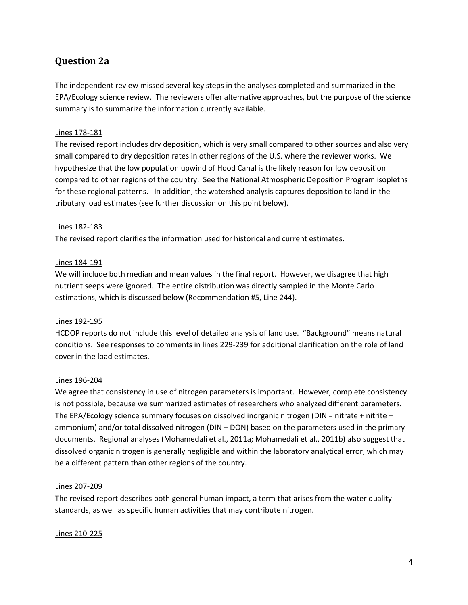## **Question 2a**

The independent review missed several key steps in the analyses completed and summarized in the EPA/Ecology science review. The reviewers offer alternative approaches, but the purpose of the science summary is to summarize the information currently available.

## Lines 178-181

The revised report includes dry deposition, which is very small compared to other sources and also very small compared to dry deposition rates in other regions of the U.S. where the reviewer works. We hypothesize that the low population upwind of Hood Canal is the likely reason for low deposition compared to other regions of the country. See the National Atmospheric Deposition Program isopleths for these regional patterns. In addition, the watershed analysis captures deposition to land in the tributary load estimates (see further discussion on this point below).

## Lines 182-183

The revised report clarifies the information used for historical and current estimates.

## Lines 184-191

We will include both median and mean values in the final report. However, we disagree that high nutrient seeps were ignored. The entire distribution was directly sampled in the Monte Carlo estimations, which is discussed below (Recommendation #5, Line 244).

#### Lines 192-195

HCDOP reports do not include this level of detailed analysis of land use. "Background" means natural conditions. See responses to comments in lines 229-239 for additional clarification on the role of land cover in the load estimates.

#### Lines 196-204

We agree that consistency in use of nitrogen parameters is important. However, complete consistency is not possible, because we summarized estimates of researchers who analyzed different parameters. The EPA/Ecology science summary focuses on dissolved inorganic nitrogen (DIN = nitrate + nitrite + ammonium) and/or total dissolved nitrogen (DIN + DON) based on the parameters used in the primary documents. Regional analyses (Mohamedali et al., 2011a; Mohamedali et al., 2011b) also suggest that dissolved organic nitrogen is generally negligible and within the laboratory analytical error, which may be a different pattern than other regions of the country.

#### Lines 207-209

The revised report describes both general human impact, a term that arises from the water quality standards, as well as specific human activities that may contribute nitrogen.

#### Lines 210-225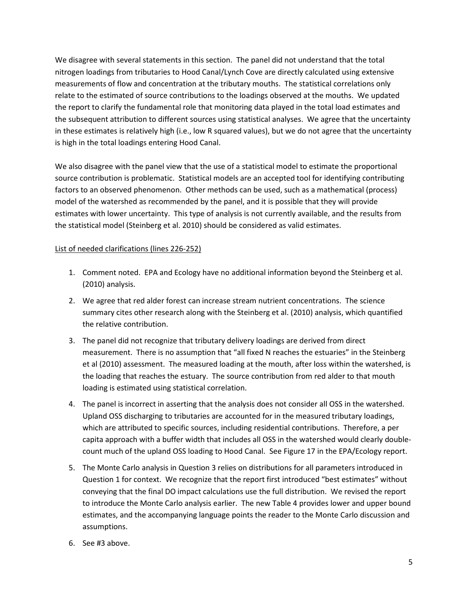We disagree with several statements in this section. The panel did not understand that the total nitrogen loadings from tributaries to Hood Canal/Lynch Cove are directly calculated using extensive measurements of flow and concentration at the tributary mouths. The statistical correlations only relate to the estimated of source contributions to the loadings observed at the mouths. We updated the report to clarify the fundamental role that monitoring data played in the total load estimates and the subsequent attribution to different sources using statistical analyses. We agree that the uncertainty in these estimates is relatively high (i.e., low R squared values), but we do not agree that the uncertainty is high in the total loadings entering Hood Canal.

We also disagree with the panel view that the use of a statistical model to estimate the proportional source contribution is problematic. Statistical models are an accepted tool for identifying contributing factors to an observed phenomenon. Other methods can be used, such as a mathematical (process) model of the watershed as recommended by the panel, and it is possible that they will provide estimates with lower uncertainty. This type of analysis is not currently available, and the results from the statistical model (Steinberg et al. 2010) should be considered as valid estimates.

## List of needed clarifications (lines 226-252)

- 1. Comment noted. EPA and Ecology have no additional information beyond the Steinberg et al. (2010) analysis.
- 2. We agree that red alder forest can increase stream nutrient concentrations. The science summary cites other research along with the Steinberg et al. (2010) analysis, which quantified the relative contribution.
- 3. The panel did not recognize that tributary delivery loadings are derived from direct measurement. There is no assumption that "all fixed N reaches the estuaries" in the Steinberg et al (2010) assessment. The measured loading at the mouth, after loss within the watershed, is the loading that reaches the estuary. The source contribution from red alder to that mouth loading is estimated using statistical correlation.
- 4. The panel is incorrect in asserting that the analysis does not consider all OSS in the watershed. Upland OSS discharging to tributaries are accounted for in the measured tributary loadings, which are attributed to specific sources, including residential contributions. Therefore, a per capita approach with a buffer width that includes all OSS in the watershed would clearly doublecount much of the upland OSS loading to Hood Canal. See Figure 17 in the EPA/Ecology report.
- 5. The Monte Carlo analysis in Question 3 relies on distributions for all parameters introduced in Question 1 for context. We recognize that the report first introduced "best estimates" without conveying that the final DO impact calculations use the full distribution. We revised the report to introduce the Monte Carlo analysis earlier. The new Table 4 provides lower and upper bound estimates, and the accompanying language points the reader to the Monte Carlo discussion and assumptions.
- 6. See #3 above.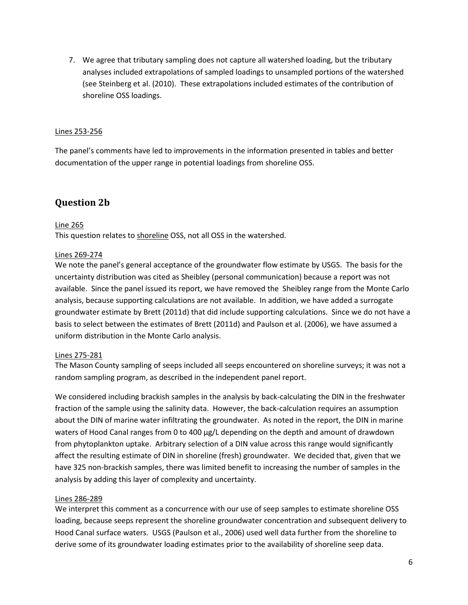7. We agree that tributary sampling does not capture all watershed loading, but the tributary analyses included extrapolations of sampled loadings to unsampled portions of the watershed (see Steinberg et al. (2010). These extrapolations included estimates of the contribution of shoreline OSS loadings.

## Lines 253-256

The panel's comments have led to improvements in the information presented in tables and better documentation of the upper range in potential loadings from shoreline OSS.

## **Question 2b**

## Line 265

This question relates to shoreline OSS, not all OSS in the watershed.

## Lines 269-274

We note the panel's general acceptance of the groundwater flow estimate by USGS. The basis for the uncertainty distribution was cited as Sheibley (personal communication) because a report was not available. Since the panel issued its report, we have removed the Sheibley range from the Monte Carlo analysis, because supporting calculations are not available. In addition, we have added a surrogate groundwater estimate by Brett (2011d) that did include supporting calculations. Since we do not have a basis to select between the estimates of Brett (2011d) and Paulson et al. (2006), we have assumed a uniform distribution in the Monte Carlo analysis.

## Lines 275-281

The Mason County sampling of seeps included all seeps encountered on shoreline surveys; it was not a random sampling program, as described in the independent panel report.

We considered including brackish samples in the analysis by back-calculating the DIN in the freshwater fraction of the sample using the salinity data. However, the back-calculation requires an assumption about the DIN of marine water infiltrating the groundwater. As noted in the report, the DIN in marine waters of Hood Canal ranges from 0 to 400 µg/L depending on the depth and amount of drawdown from phytoplankton uptake. Arbitrary selection of a DIN value across this range would significantly affect the resulting estimate of DIN in shoreline (fresh) groundwater. We decided that, given that we have 325 non-brackish samples, there was limited benefit to increasing the number of samples in the analysis by adding this layer of complexity and uncertainty.

#### Lines 286-289

We interpret this comment as a concurrence with our use of seep samples to estimate shoreline OSS loading, because seeps represent the shoreline groundwater concentration and subsequent delivery to Hood Canal surface waters. USGS (Paulson et al., 2006) used well data further from the shoreline to derive some of its groundwater loading estimates prior to the availability of shoreline seep data.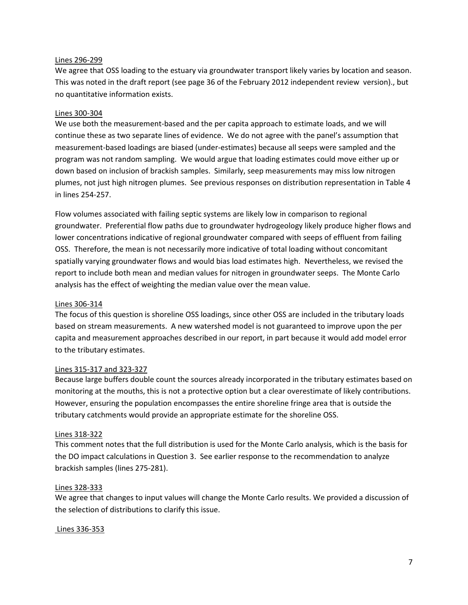#### Lines 296-299

We agree that OSS loading to the estuary via groundwater transport likely varies by location and season. This was noted in the draft report (see page 36 of the February 2012 independent review version)., but no quantitative information exists.

#### Lines 300-304

We use both the measurement-based and the per capita approach to estimate loads, and we will continue these as two separate lines of evidence. We do not agree with the panel's assumption that measurement-based loadings are biased (under-estimates) because all seeps were sampled and the program was not random sampling. We would argue that loading estimates could move either up or down based on inclusion of brackish samples. Similarly, seep measurements may miss low nitrogen plumes, not just high nitrogen plumes. See previous responses on distribution representation in Table 4 in lines 254-257.

Flow volumes associated with failing septic systems are likely low in comparison to regional groundwater. Preferential flow paths due to groundwater hydrogeology likely produce higher flows and lower concentrations indicative of regional groundwater compared with seeps of effluent from failing OSS. Therefore, the mean is not necessarily more indicative of total loading without concomitant spatially varying groundwater flows and would bias load estimates high. Nevertheless, we revised the report to include both mean and median values for nitrogen in groundwater seeps. The Monte Carlo analysis has the effect of weighting the median value over the mean value.

#### Lines 306-314

The focus of this question is shoreline OSS loadings, since other OSS are included in the tributary loads based on stream measurements. A new watershed model is not guaranteed to improve upon the per capita and measurement approaches described in our report, in part because it would add model error to the tributary estimates.

#### Lines 315-317 and 323-327

Because large buffers double count the sources already incorporated in the tributary estimates based on monitoring at the mouths, this is not a protective option but a clear overestimate of likely contributions. However, ensuring the population encompasses the entire shoreline fringe area that is outside the tributary catchments would provide an appropriate estimate for the shoreline OSS.

#### Lines 318-322

This comment notes that the full distribution is used for the Monte Carlo analysis, which is the basis for the DO impact calculations in Question 3. See earlier response to the recommendation to analyze brackish samples (lines 275-281).

#### Lines 328-333

We agree that changes to input values will change the Monte Carlo results. We provided a discussion of the selection of distributions to clarify this issue.

#### Lines 336-353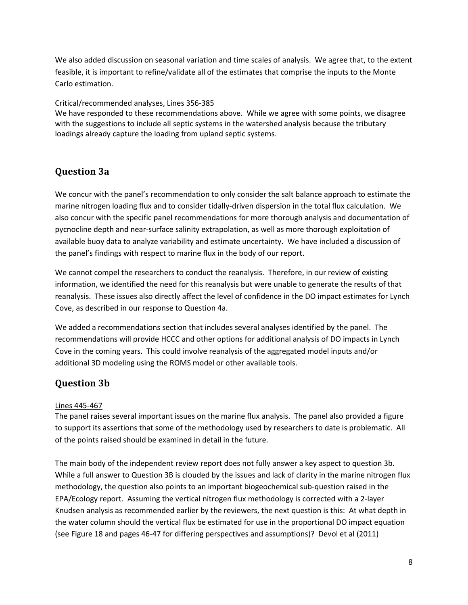We also added discussion on seasonal variation and time scales of analysis. We agree that, to the extent feasible, it is important to refine/validate all of the estimates that comprise the inputs to the Monte Carlo estimation.

## Critical/recommended analyses, Lines 356-385

We have responded to these recommendations above. While we agree with some points, we disagree with the suggestions to include all septic systems in the watershed analysis because the tributary loadings already capture the loading from upland septic systems.

## **Question 3a**

We concur with the panel's recommendation to only consider the salt balance approach to estimate the marine nitrogen loading flux and to consider tidally-driven dispersion in the total flux calculation. We also concur with the specific panel recommendations for more thorough analysis and documentation of pycnocline depth and near-surface salinity extrapolation, as well as more thorough exploitation of available buoy data to analyze variability and estimate uncertainty. We have included a discussion of the panel's findings with respect to marine flux in the body of our report.

We cannot compel the researchers to conduct the reanalysis. Therefore, in our review of existing information, we identified the need for this reanalysis but were unable to generate the results of that reanalysis. These issues also directly affect the level of confidence in the DO impact estimates for Lynch Cove, as described in our response to Question 4a.

We added a recommendations section that includes several analyses identified by the panel. The recommendations will provide HCCC and other options for additional analysis of DO impacts in Lynch Cove in the coming years. This could involve reanalysis of the aggregated model inputs and/or additional 3D modeling using the ROMS model or other available tools.

# **Question 3b**

## Lines 445-467

The panel raises several important issues on the marine flux analysis. The panel also provided a figure to support its assertions that some of the methodology used by researchers to date is problematic. All of the points raised should be examined in detail in the future.

The main body of the independent review report does not fully answer a key aspect to question 3b. While a full answer to Question 3B is clouded by the issues and lack of clarity in the marine nitrogen flux methodology, the question also points to an important biogeochemical sub-question raised in the EPA/Ecology report. Assuming the vertical nitrogen flux methodology is corrected with a 2-layer Knudsen analysis as recommended earlier by the reviewers, the next question is this: At what depth in the water column should the vertical flux be estimated for use in the proportional DO impact equation (see Figure 18 and pages 46-47 for differing perspectives and assumptions)? Devol et al (2011)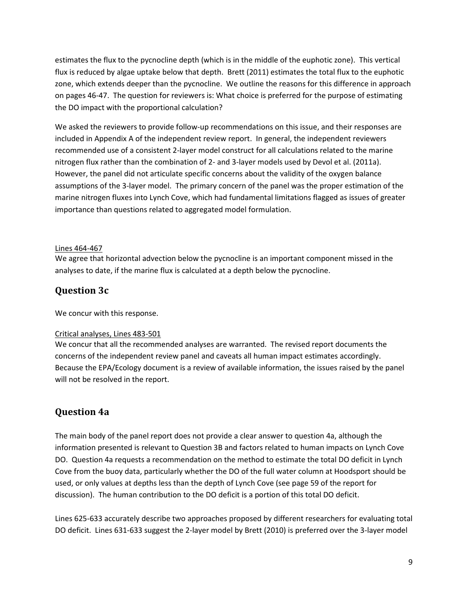estimates the flux to the pycnocline depth (which is in the middle of the euphotic zone). This vertical flux is reduced by algae uptake below that depth. Brett (2011) estimates the total flux to the euphotic zone, which extends deeper than the pycnocline. We outline the reasons for this difference in approach on pages 46-47. The question for reviewers is: What choice is preferred for the purpose of estimating the DO impact with the proportional calculation?

We asked the reviewers to provide follow-up recommendations on this issue, and their responses are included in Appendix A of the independent review report. In general, the independent reviewers recommended use of a consistent 2-layer model construct for all calculations related to the marine nitrogen flux rather than the combination of 2- and 3-layer models used by Devol et al. (2011a). However, the panel did not articulate specific concerns about the validity of the oxygen balance assumptions of the 3-layer model. The primary concern of the panel was the proper estimation of the marine nitrogen fluxes into Lynch Cove, which had fundamental limitations flagged as issues of greater importance than questions related to aggregated model formulation.

## Lines 464-467

We agree that horizontal advection below the pycnocline is an important component missed in the analyses to date, if the marine flux is calculated at a depth below the pycnocline.

## **Question 3c**

We concur with this response.

## Critical analyses, Lines 483-501

We concur that all the recommended analyses are warranted. The revised report documents the concerns of the independent review panel and caveats all human impact estimates accordingly. Because the EPA/Ecology document is a review of available information, the issues raised by the panel will not be resolved in the report.

# **Question 4a**

The main body of the panel report does not provide a clear answer to question 4a, although the information presented is relevant to Question 3B and factors related to human impacts on Lynch Cove DO. Question 4a requests a recommendation on the method to estimate the total DO deficit in Lynch Cove from the buoy data, particularly whether the DO of the full water column at Hoodsport should be used, or only values at depths less than the depth of Lynch Cove (see page 59 of the report for discussion). The human contribution to the DO deficit is a portion of this total DO deficit.

Lines 625-633 accurately describe two approaches proposed by different researchers for evaluating total DO deficit. Lines 631-633 suggest the 2-layer model by Brett (2010) is preferred over the 3-layer model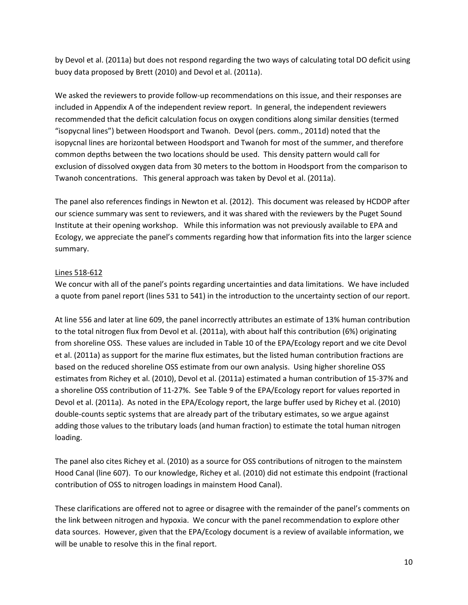by Devol et al. (2011a) but does not respond regarding the two ways of calculating total DO deficit using buoy data proposed by Brett (2010) and Devol et al. (2011a).

We asked the reviewers to provide follow-up recommendations on this issue, and their responses are included in Appendix A of the independent review report. In general, the independent reviewers recommended that the deficit calculation focus on oxygen conditions along similar densities (termed "isopycnal lines") between Hoodsport and Twanoh. Devol (pers. comm., 2011d) noted that the isopycnal lines are horizontal between Hoodsport and Twanoh for most of the summer, and therefore common depths between the two locations should be used. This density pattern would call for exclusion of dissolved oxygen data from 30 meters to the bottom in Hoodsport from the comparison to Twanoh concentrations. This general approach was taken by Devol et al. (2011a).

The panel also references findings in Newton et al. (2012). This document was released by HCDOP after our science summary was sent to reviewers, and it was shared with the reviewers by the Puget Sound Institute at their opening workshop. While this information was not previously available to EPA and Ecology, we appreciate the panel's comments regarding how that information fits into the larger science summary.

## Lines 518-612

We concur with all of the panel's points regarding uncertainties and data limitations. We have included a quote from panel report (lines 531 to 541) in the introduction to the uncertainty section of our report.

At line 556 and later at line 609, the panel incorrectly attributes an estimate of 13% human contribution to the total nitrogen flux from Devol et al. (2011a), with about half this contribution (6%) originating from shoreline OSS. These values are included in Table 10 of the EPA/Ecology report and we cite Devol et al. (2011a) as support for the marine flux estimates, but the listed human contribution fractions are based on the reduced shoreline OSS estimate from our own analysis. Using higher shoreline OSS estimates from Richey et al. (2010), Devol et al. (2011a) estimated a human contribution of 15-37% and a shoreline OSS contribution of 11-27%. See Table 9 of the EPA/Ecology report for values reported in Devol et al. (2011a). As noted in the EPA/Ecology report, the large buffer used by Richey et al. (2010) double-counts septic systems that are already part of the tributary estimates, so we argue against adding those values to the tributary loads (and human fraction) to estimate the total human nitrogen loading.

The panel also cites Richey et al. (2010) as a source for OSS contributions of nitrogen to the mainstem Hood Canal (line 607). To our knowledge, Richey et al. (2010) did not estimate this endpoint (fractional contribution of OSS to nitrogen loadings in mainstem Hood Canal).

These clarifications are offered not to agree or disagree with the remainder of the panel's comments on the link between nitrogen and hypoxia. We concur with the panel recommendation to explore other data sources. However, given that the EPA/Ecology document is a review of available information, we will be unable to resolve this in the final report.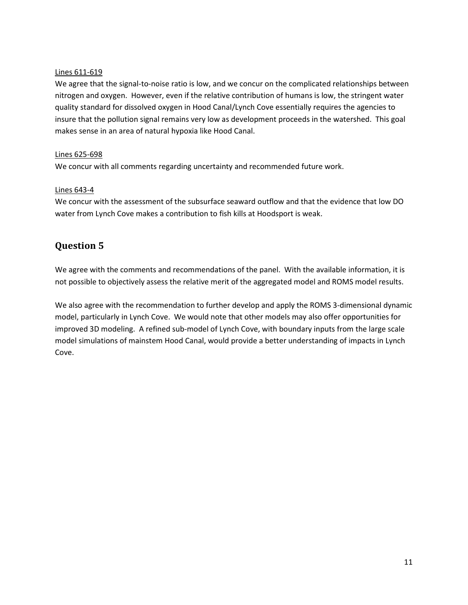## Lines 611-619

We agree that the signal-to-noise ratio is low, and we concur on the complicated relationships between nitrogen and oxygen. However, even if the relative contribution of humans is low, the stringent water quality standard for dissolved oxygen in Hood Canal/Lynch Cove essentially requires the agencies to insure that the pollution signal remains very low as development proceeds in the watershed. This goal makes sense in an area of natural hypoxia like Hood Canal.

## Lines 625-698

We concur with all comments regarding uncertainty and recommended future work.

## Lines 643-4

We concur with the assessment of the subsurface seaward outflow and that the evidence that low DO water from Lynch Cove makes a contribution to fish kills at Hoodsport is weak.

# **Question 5**

We agree with the comments and recommendations of the panel. With the available information, it is not possible to objectively assess the relative merit of the aggregated model and ROMS model results.

We also agree with the recommendation to further develop and apply the ROMS 3-dimensional dynamic model, particularly in Lynch Cove. We would note that other models may also offer opportunities for improved 3D modeling. A refined sub-model of Lynch Cove, with boundary inputs from the large scale model simulations of mainstem Hood Canal, would provide a better understanding of impacts in Lynch Cove.